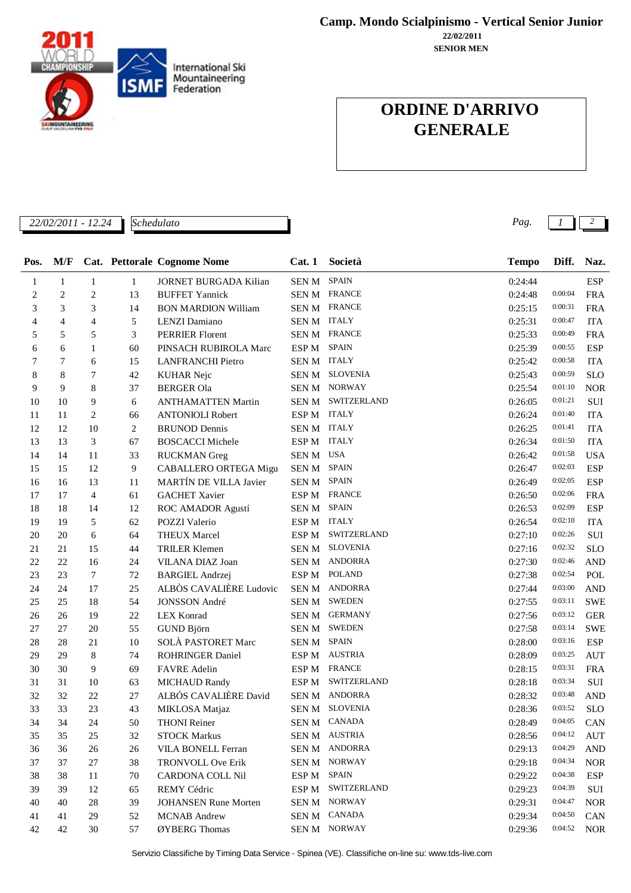International Ski Mountaineering **ISMF** Federation **NTAINEERING** 

**22/02/2011 Camp. Mondo Scialpinismo - Vertical Senior Junior**

**SENIOR MEN**

### **ORDINE D'ARRIVO GENERALE**

*22/02/2011 - 12.24 Pag. 1 2*

*Schedulato*

| Pos.         | M/F            |                |              | <b>Cat. Pettorale Cognome Nome</b> | Cat.1            | Società             | <b>Tempo</b> | Diff.   | Naz.       |
|--------------|----------------|----------------|--------------|------------------------------------|------------------|---------------------|--------------|---------|------------|
| $\mathbf{1}$ | $\mathbf{1}$   | $\mathbf{1}$   | $\mathbf{1}$ | <b>JORNET BURGADA Kilian</b>       | SEN M SPAIN      |                     | 0:24:44      |         | <b>ESP</b> |
| 2            | $\overline{c}$ | $\overline{c}$ | 13           | <b>BUFFET Yannick</b>              |                  | <b>SEN M FRANCE</b> | 0:24:48      | 0:00:04 | <b>FRA</b> |
| 3            | 3              | 3              | 14           | <b>BON MARDION William</b>         |                  | SEN M FRANCE        | 0:25:15      | 0:00:31 | <b>FRA</b> |
| 4            | 4              | 4              | 5            | LENZI Damiano                      | SEN M ITALY      |                     | 0:25:31      | 0:00:47 | <b>ITA</b> |
| 5            | 5              | 5              | 3            | PERRIER Florent                    |                  | SEN M FRANCE        | 0:25:33      | 0:00:49 | <b>FRA</b> |
| 6            | 6              | 1              | 60           | PINSACH RUBIROLA Marc              | ESP M            | <b>SPAIN</b>        | 0:25:39      | 0:00:55 | <b>ESP</b> |
| 7            | 7              | 6              | 15           | <b>LANFRANCHI Pietro</b>           | SEN M ITALY      |                     | 0:25:42      | 0:00:58 | <b>ITA</b> |
| 8            | 8              | 7              | 42           | <b>KUHAR Nejc</b>                  | SEN M            | <b>SLOVENIA</b>     | 0:25:43      | 0:00:59 | <b>SLO</b> |
| 9            | 9              | 8              | 37           | <b>BERGER Ola</b>                  | SEN M            | <b>NORWAY</b>       | 0:25:54      | 0:01:10 | <b>NOR</b> |
| 10           | 10             | 9              | 6            | <b>ANTHAMATTEN Martin</b>          |                  | SEN M SWITZERLAND   | 0:26:05      | 0:01:21 | SUI        |
| 11           | 11             | $\overline{c}$ | 66           | <b>ANTONIOLI Robert</b>            | ESP M ITALY      |                     | 0:26:24      | 0:01:40 | <b>ITA</b> |
| 12           | 12             | 10             | 2            | <b>BRUNOD</b> Dennis               | SEN M ITALY      |                     | 0:26:25      | 0:01:41 | <b>ITA</b> |
| 13           | 13             | 3              | 67           | <b>BOSCACCI Michele</b>            | ESP M            | <b>ITALY</b>        | 0:26:34      | 0:01:50 | <b>ITA</b> |
| 14           | 14             | 11             | 33           | <b>RUCKMAN</b> Greg                | SEN M USA        |                     | 0:26:42      | 0:01:58 | <b>USA</b> |
| 15           | 15             | 12             | 9            | CABALLERO ORTEGA Migu              | SEN M            | <b>SPAIN</b>        | 0:26:47      | 0:02:03 | <b>ESP</b> |
| 16           | 16             | 13             | 11           | MARTÍN DE VILLA Javier             | SEN M SPAIN      |                     | 0:26:49      | 0:02:05 | <b>ESP</b> |
| 17           | 17             | 4              | 61           | <b>GACHET Xavier</b>               | ESP M            | <b>FRANCE</b>       | 0:26:50      | 0:02:06 | <b>FRA</b> |
| 18           | 18             | 14             | 12           | ROC AMADOR Agustí                  | SEN M            | <b>SPAIN</b>        | 0:26:53      | 0:02:09 | <b>ESP</b> |
| 19           | 19             | 5              | 62           | POZZI Valerio                      | ESP M            | <b>ITALY</b>        | 0:26:54      | 0:02:10 | <b>ITA</b> |
| 20           | 20             | 6              | 64           | <b>THEUX Marcel</b>                | ESP <sub>M</sub> | SWITZERLAND         | 0:27:10      | 0:02:26 | SUI        |
| 21           | 21             | 15             | 44           | <b>TRILER Klemen</b>               | SEN M            | <b>SLOVENIA</b>     | 0:27:16      | 0:02:32 | <b>SLO</b> |
| 22           | 22             | 16             | 24           | VILANA DIAZ Joan                   | SEN M            | <b>ANDORRA</b>      | 0:27:30      | 0:02:46 | <b>AND</b> |
| 23           | 23             | $\tau$         | 72           | <b>BARGIEL Andrzej</b>             | ESP M            | <b>POLAND</b>       | 0:27:38      | 0:02:54 | POL        |
| 24           | 24             | 17             | 25           | ALBÒS CAVALIÈRE Ludovic            | SEN M            | <b>ANDORRA</b>      | 0:27:44      | 0:03:00 | <b>AND</b> |
| 25           | 25             | 18             | 54           | JONSSON André                      | SEN M            | <b>SWEDEN</b>       | 0:27:55      | 0:03:11 | <b>SWE</b> |
| 26           | 26             | 19             | 22           | <b>LEX Konrad</b>                  | <b>SENM</b>      | <b>GERMANY</b>      | 0:27:56      | 0:03:12 | <b>GER</b> |
| 27           | 27             | 20             | 55           | GUND Björn                         | SEN M            | <b>SWEDEN</b>       | 0:27:58      | 0:03:14 | <b>SWE</b> |
| 28           | 28             | 21             | 10           | SOLÀ PASTORET Marc                 | SEN M            | <b>SPAIN</b>        | 0:28:00      | 0:03:16 | <b>ESP</b> |
| 29           | 29             | 8              | 74           | <b>ROHRINGER Daniel</b>            | ESP <sub>M</sub> | <b>AUSTRIA</b>      | 0:28:09      | 0:03:25 | <b>AUT</b> |
| 30           | 30             | 9              | 69           | <b>FAVRE</b> Adelin                | ESP M            | <b>FRANCE</b>       | 0:28:15      | 0:03:31 | <b>FRA</b> |
| 31           | 31             | 10             | 63           | <b>MICHAUD Randy</b>               | ESP M            | SWITZERLAND         | 0:28:18      | 0:03:34 | SUI        |
| 32           | 32             | 22             | 27           | ALBÓS CAVALIÈRE David              |                  | SEN M ANDORRA       | 0:28:32      | 0:03:48 | <b>AND</b> |
| 33           | 33             | 23             | 43           | MIKLOSA Matjaz                     | SEN M            | <b>SLOVENIA</b>     | 0:28:36      | 0:03:52 | <b>SLO</b> |
| 34           | 34             | 24             | 50           | <b>THONI</b> Reiner                |                  | SEN M CANADA        | 0:28:49      | 0:04:05 | CAN        |
| 35           | 35             | 25             | 32           | <b>STOCK Markus</b>                |                  | SEN M AUSTRIA       | 0:28:56      | 0:04:12 | AUT        |
| 36           | 36             | 26             | 26           | VILA BONELL Ferran                 | <b>SENM</b>      | <b>ANDORRA</b>      | 0:29:13      | 0:04:29 | <b>AND</b> |
| 37           | 37             | 27             | 38           | <b>TRONVOLL Ove Erik</b>           | SEN M            | NORWAY              | 0:29:18      | 0:04:34 | <b>NOR</b> |
| 38           | 38             | 11             | 70           | CARDONA COLL Nil                   | ESP M            | <b>SPAIN</b>        | 0:29:22      | 0:04:38 | ESP        |
| 39           | 39             | 12             | 65           | REMY Cédric                        | ESP M            | SWITZERLAND         | 0:29:23      | 0:04:39 | SUI        |
| 40           | 40             | 28             | 39           | <b>JOHANSEN Rune Morten</b>        | SEN M            | <b>NORWAY</b>       | 0:29:31      | 0:04:47 | <b>NOR</b> |
| 41           | 41             | 29             | 52           | <b>MCNAB</b> Andrew                | SEN M            | <b>CANADA</b>       | 0:29:34      | 0:04:50 | <b>CAN</b> |
| 42           | 42             | 30             | 57           | ØYBERG Thomas                      |                  | SEN M NORWAY        | 0:29:36      | 0:04:52 | <b>NOR</b> |

Servizio Classifiche by Timing Data Service - Spinea (VE). Classifiche on-line su: www.tds-live.com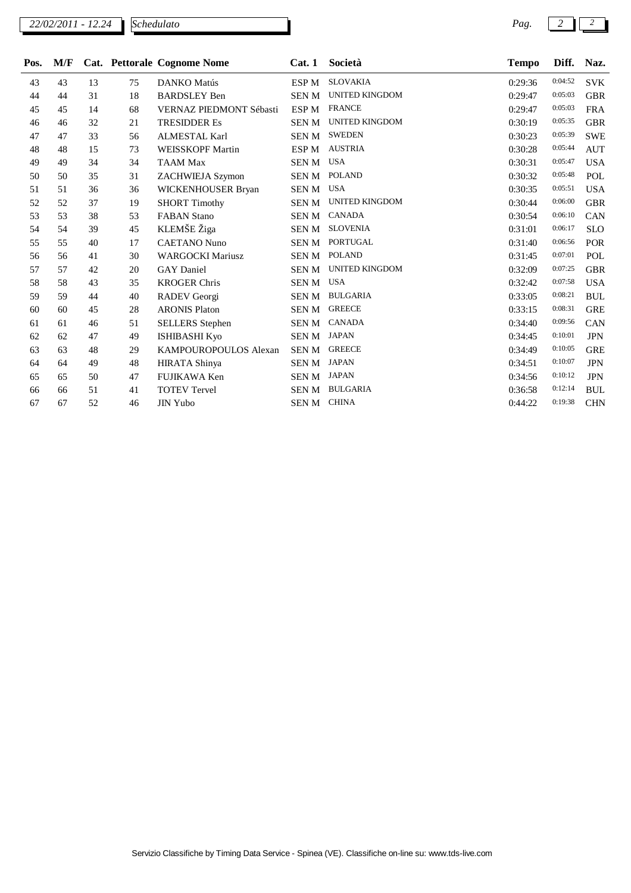*Schedulato*

| Pos. | M/F |    |    | Cat. Pettorale Cognome Nome | Cat.1            | Società               | <b>Tempo</b> | Diff.   | Naz.       |
|------|-----|----|----|-----------------------------|------------------|-----------------------|--------------|---------|------------|
| 43   | 43  | 13 | 75 | <b>DANKO</b> Matús          | ESP <sub>M</sub> | <b>SLOVAKIA</b>       | 0:29:36      | 0:04:52 | <b>SVK</b> |
| 44   | 44  | 31 | 18 | <b>BARDSLEY Ben</b>         | <b>SENM</b>      | <b>UNITED KINGDOM</b> | 0:29:47      | 0:05:03 | <b>GBR</b> |
| 45   | 45  | 14 | 68 | VERNAZ PIEDMONT Sébasti     | ESP <sub>M</sub> | <b>FRANCE</b>         | 0:29:47      | 0:05:03 | <b>FRA</b> |
| 46   | 46  | 32 | 21 | <b>TRESIDDER Es</b>         | <b>SENM</b>      | <b>UNITED KINGDOM</b> | 0:30:19      | 0:05:35 | <b>GBR</b> |
| 47   | 47  | 33 | 56 | <b>ALMESTAL Karl</b>        | <b>SEN M</b>     | <b>SWEDEN</b>         | 0:30:23      | 0:05:39 | <b>SWE</b> |
| 48   | 48  | 15 | 73 | <b>WEISSKOPF Martin</b>     | ESP M            | <b>AUSTRIA</b>        | 0:30:28      | 0:05:44 | <b>AUT</b> |
| 49   | 49  | 34 | 34 | <b>TAAM Max</b>             | SEN M            | <b>USA</b>            | 0:30:31      | 0:05:47 | <b>USA</b> |
| 50   | 50  | 35 | 31 | <b>ZACHWIEJA Szymon</b>     | SEN M            | <b>POLAND</b>         | 0:30:32      | 0:05:48 | POL        |
| 51   | 51  | 36 | 36 | WICKENHOUSER Bryan          | <b>SENM</b>      | <b>USA</b>            | 0:30:35      | 0:05:51 | <b>USA</b> |
| 52   | 52  | 37 | 19 | <b>SHORT Timothy</b>        | SEN M            | <b>UNITED KINGDOM</b> | 0:30:44      | 0:06:00 | <b>GBR</b> |
| 53   | 53  | 38 | 53 | <b>FABAN Stano</b>          | SEN M            | <b>CANADA</b>         | 0:30:54      | 0:06:10 | CAN        |
| 54   | 54  | 39 | 45 | KLEMŠE Žiga                 | SEN M            | <b>SLOVENIA</b>       | 0:31:01      | 0:06:17 | <b>SLO</b> |
| 55   | 55  | 40 | 17 | <b>CAETANO Nuno</b>         | SEN M            | PORTUGAL              | 0:31:40      | 0:06:56 | <b>POR</b> |
| 56   | 56  | 41 | 30 | <b>WARGOCKI Mariusz</b>     | SEN M            | <b>POLAND</b>         | 0:31:45      | 0:07:01 | POL        |
| 57   | 57  | 42 | 20 | <b>GAY</b> Daniel           | SEN M            | <b>UNITED KINGDOM</b> | 0:32:09      | 0:07:25 | <b>GBR</b> |
| 58   | 58  | 43 | 35 | <b>KROGER Chris</b>         | <b>SENM</b>      | <b>USA</b>            | 0:32:42      | 0:07:58 | <b>USA</b> |
| 59   | 59  | 44 | 40 | RADEV Georgi                | <b>SEN M</b>     | <b>BULGARIA</b>       | 0:33:05      | 0:08:21 | <b>BUL</b> |
| 60   | 60  | 45 | 28 | <b>ARONIS Platon</b>        | SEN M            | <b>GREECE</b>         | 0:33:15      | 0:08:31 | <b>GRE</b> |
| 61   | 61  | 46 | 51 | <b>SELLERS</b> Stephen      | SEN M            | <b>CANADA</b>         | 0:34:40      | 0:09:56 | CAN        |
| 62   | 62  | 47 | 49 | <b>ISHIBASHI Kyo</b>        | SEN M            | <b>JAPAN</b>          | 0:34:45      | 0:10:01 | <b>JPN</b> |
| 63   | 63  | 48 | 29 | KAMPOUROPOULOS Alexan       | SEN M            | <b>GREECE</b>         | 0:34:49      | 0:10:05 | <b>GRE</b> |
| 64   | 64  | 49 | 48 | <b>HIRATA Shinya</b>        | SEN M            | <b>JAPAN</b>          | 0:34:51      | 0:10:07 | <b>JPN</b> |
| 65   | 65  | 50 | 47 | FUJIKAWA Ken                | <b>SENM</b>      | <b>JAPAN</b>          | 0:34:56      | 0:10:12 | <b>JPN</b> |
| 66   | 66  | 51 | 41 | <b>TOTEV Tervel</b>         | <b>SENM</b>      | <b>BULGARIA</b>       | 0:36:58      | 0:12:14 | <b>BUL</b> |
| 67   | 67  | 52 | 46 | <b>JIN Yubo</b>             | SEN M            | <b>CHINA</b>          | 0:44:22      | 0:19:38 | <b>CHN</b> |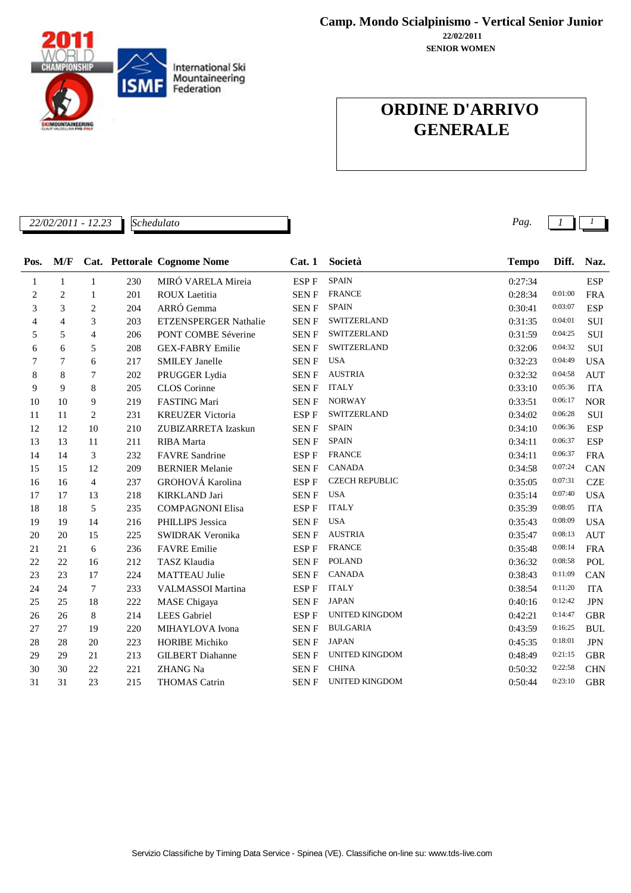

**Camp. Mondo Scialpinismo - Vertical Senior Junior**

**SENIOR WOMEN 22/02/2011**

### **ORDINE D'ARRIVO GENERALE**

*22/02/2011 - 12.23 Pag. 1 1*

*Schedulato*

| Pos. | M/F          |                |     | Cat. Pettorale Cognome Nome | Cat.1       | Società               | <b>Tempo</b> | Diff.   | Naz.       |
|------|--------------|----------------|-----|-----------------------------|-------------|-----------------------|--------------|---------|------------|
| 1    | $\mathbf{1}$ | $\mathbf{1}$   | 230 | MIRÓ VARELA Mireia          | ESP F       | <b>SPAIN</b>          | 0:27:34      |         | <b>ESP</b> |
| 2    | 2            | 1              | 201 | <b>ROUX</b> Laetitia        | <b>SENF</b> | <b>FRANCE</b>         | 0:28:34      | 0:01:00 | <b>FRA</b> |
| 3    | 3            | $\mathbf{2}$   | 204 | ARRÓ Gemma                  | <b>SENF</b> | <b>SPAIN</b>          | 0:30:41      | 0:03:07 | <b>ESP</b> |
| 4    | 4            | 3              | 203 | ETZENSPERGER Nathalie       | <b>SENF</b> | SWITZERLAND           | 0:31:35      | 0:04:01 | SUI        |
| 5    | 5            | 4              | 206 | PONT COMBE Séverine         | <b>SENF</b> | SWITZERLAND           | 0:31:59      | 0:04:25 | SUI        |
| 6    | 6            | 5              | 208 | <b>GEX-FABRY Emilie</b>     | <b>SENF</b> | SWITZERLAND           | 0:32:06      | 0:04:32 | SUI        |
| 7    | 7            | 6              | 217 | <b>SMILEY Janelle</b>       | SEN F       | <b>USA</b>            | 0:32:23      | 0:04:49 | <b>USA</b> |
| 8    | 8            | 7              | 202 | PRUGGER Lydia               | <b>SENF</b> | <b>AUSTRIA</b>        | 0:32:32      | 0:04:58 | <b>AUT</b> |
| 9    | 9            | 8              | 205 | CLOS Corinne                | <b>SENF</b> | <b>ITALY</b>          | 0:33:10      | 0:05:36 | <b>ITA</b> |
| 10   | 10           | 9              | 219 | FASTING Mari                | <b>SENF</b> | <b>NORWAY</b>         | 0:33:51      | 0:06:17 | <b>NOR</b> |
| 11   | 11           | $\overline{c}$ | 231 | <b>KREUZER Victoria</b>     | ESP F       | SWITZERLAND           | 0:34:02      | 0:06:28 | SUI        |
| 12   | 12           | 10             | 210 | ZUBIZARRETA Izaskun         | <b>SENF</b> | <b>SPAIN</b>          | 0:34:10      | 0:06:36 | <b>ESP</b> |
| 13   | 13           | 11             | 211 | <b>RIBA</b> Marta           | SEN F       | <b>SPAIN</b>          | 0:34:11      | 0:06:37 | <b>ESP</b> |
| 14   | 14           | 3              | 232 | <b>FAVRE</b> Sandrine       | ESP F       | <b>FRANCE</b>         | 0:34:11      | 0:06:37 | <b>FRA</b> |
| 15   | 15           | 12             | 209 | <b>BERNIER Melanie</b>      | <b>SENF</b> | <b>CANADA</b>         | 0:34:58      | 0:07:24 | CAN        |
| 16   | 16           | $\overline{4}$ | 237 | GROHOVÁ Karolina            | ESP F       | <b>CZECH REPUBLIC</b> | 0:35:05      | 0:07:31 | <b>CZE</b> |
| 17   | 17           | 13             | 218 | <b>KIRKLAND Jari</b>        | <b>SENF</b> | <b>USA</b>            | 0:35:14      | 0:07:40 | <b>USA</b> |
| 18   | 18           | 5              | 235 | <b>COMPAGNONI Elisa</b>     | ESP F       | <b>ITALY</b>          | 0:35:39      | 0:08:05 | <b>ITA</b> |
| 19   | 19           | 14             | 216 | PHILLIPS Jessica            | SEN F       | <b>USA</b>            | 0:35:43      | 0:08:09 | <b>USA</b> |
| 20   | 20           | 15             | 225 | SWIDRAK Veronika            | <b>SENF</b> | <b>AUSTRIA</b>        | 0:35:47      | 0:08:13 | <b>AUT</b> |
| 21   | 21           | 6              | 236 | <b>FAVRE</b> Emilie         | ESP F       | <b>FRANCE</b>         | 0:35:48      | 0:08:14 | <b>FRA</b> |
| 22   | 22           | 16             | 212 | TASZ Klaudia                | SEN F       | <b>POLAND</b>         | 0:36:32      | 0:08:58 | POL        |
| 23   | 23           | 17             | 224 | <b>MATTEAU Julie</b>        | <b>SENF</b> | <b>CANADA</b>         | 0:38:43      | 0:11:09 | CAN        |
| 24   | 24           | 7              | 233 | <b>VALMASSOI</b> Martina    | ESP F       | <b>ITALY</b>          | 0:38:54      | 0:11:20 | <b>ITA</b> |
| 25   | 25           | 18             | 222 | <b>MASE</b> Chigaya         | <b>SENF</b> | <b>JAPAN</b>          | 0:40:16      | 0:12:42 | <b>JPN</b> |
| 26   | 26           | 8              | 214 | <b>LEES</b> Gabriel         | ESP F       | UNITED KINGDOM        | 0:42:21      | 0:14:47 | <b>GBR</b> |
| 27   | 27           | 19             | 220 | MIHAYLOVA Ivona             | <b>SENF</b> | <b>BULGARIA</b>       | 0:43:59      | 0:16:25 | <b>BUL</b> |
| 28   | 28           | 20             | 223 | <b>HORIBE Michiko</b>       | <b>SENF</b> | <b>JAPAN</b>          | 0:45:35      | 0:18:01 | <b>JPN</b> |
| 29   | 29           | 21             | 213 | <b>GILBERT</b> Diahanne     | <b>SENF</b> | <b>UNITED KINGDOM</b> | 0:48:49      | 0:21:15 | <b>GBR</b> |
| 30   | 30           | 22             | 221 | <b>ZHANG Na</b>             | <b>SENF</b> | <b>CHINA</b>          | 0:50:32      | 0:22:58 | <b>CHN</b> |
| 31   | 31           | 23             | 215 | THOMAS Catrin               | <b>SENF</b> | <b>UNITED KINGDOM</b> | 0:50:44      | 0:23:10 | <b>GBR</b> |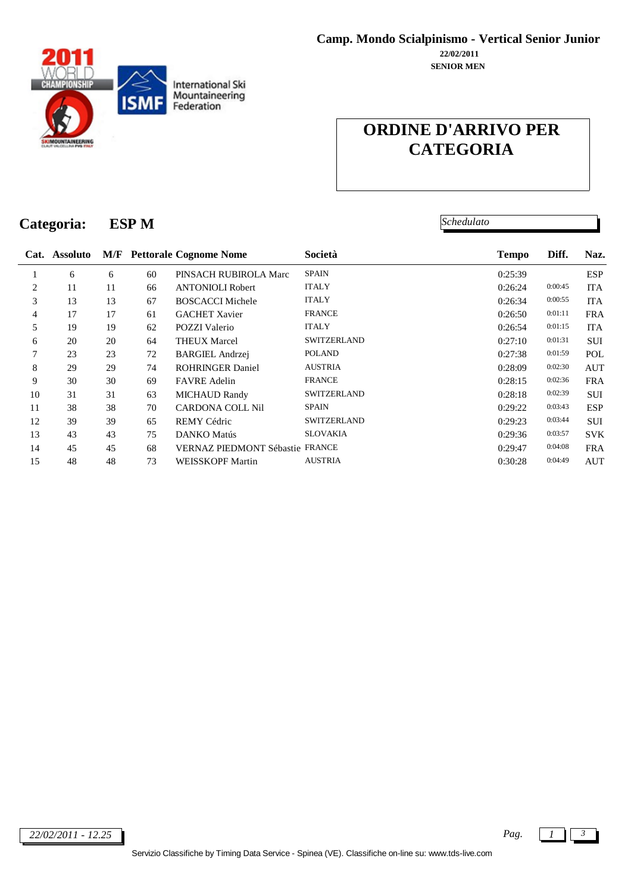

*Schedulato*

# **Categoria: ESP M**

|                | Cat. Assoluto |    |    | <b>M/F</b> Pettorale Cognome Nome      | Società            | <b>Tempo</b> | Diff.   | Naz.       |
|----------------|---------------|----|----|----------------------------------------|--------------------|--------------|---------|------------|
|                | 6             | 6  | 60 | PINSACH RUBIROLA Marc                  | <b>SPAIN</b>       | 0:25:39      |         | <b>ESP</b> |
| 2              | 11            | 11 | 66 | <b>ANTONIOLI Robert</b>                | <b>ITALY</b>       | 0:26:24      | 0:00:45 | <b>ITA</b> |
| 3              | 13            | 13 | 67 | <b>BOSCACCI Michele</b>                | <b>ITALY</b>       | 0:26:34      | 0:00:55 | <b>ITA</b> |
| $\overline{4}$ | 17            | 17 | 61 | <b>GACHET Xavier</b>                   | <b>FRANCE</b>      | 0:26:50      | 0:01:11 | <b>FRA</b> |
| 5              | 19            | 19 | 62 | <b>POZZI</b> Valerio                   | <b>ITALY</b>       | 0:26:54      | 0:01:15 | <b>ITA</b> |
| 6              | 20            | 20 | 64 | <b>THEUX Marcel</b>                    | <b>SWITZERLAND</b> | 0:27:10      | 0:01:31 | <b>SUI</b> |
| 7              | 23            | 23 | 72 | <b>BARGIEL Andrzej</b>                 | <b>POLAND</b>      | 0:27:38      | 0:01:59 | POL        |
| 8              | 29            | 29 | 74 | <b>ROHRINGER Daniel</b>                | <b>AUSTRIA</b>     | 0:28:09      | 0:02:30 | <b>AUT</b> |
| 9              | 30            | 30 | 69 | <b>FAVRE</b> Adelin                    | <b>FRANCE</b>      | 0:28:15      | 0:02:36 | <b>FRA</b> |
| 10             | 31            | 31 | 63 | <b>MICHAUD Randy</b>                   | <b>SWITZERLAND</b> | 0:28:18      | 0:02:39 | <b>SUI</b> |
| 11             | 38            | 38 | 70 | <b>CARDONA COLL Nil</b>                | <b>SPAIN</b>       | 0:29:22      | 0:03:43 | <b>ESP</b> |
| 12             | 39            | 39 | 65 | <b>REMY Cédric</b>                     | <b>SWITZERLAND</b> | 0:29:23      | 0:03:44 | <b>SUI</b> |
| 13             | 43            | 43 | 75 | DANKO Matús                            | <b>SLOVAKIA</b>    | 0:29:36      | 0:03:57 | <b>SVK</b> |
| 14             | 45            | 45 | 68 | <b>VERNAZ PIEDMONT Sébastie FRANCE</b> |                    | 0:29:47      | 0:04:08 | <b>FRA</b> |
| 15             | 48            | 48 | 73 | <b>WEISSKOPF Martin</b>                | <b>AUSTRIA</b>     | 0:30:28      | 0:04:49 | <b>AUT</b> |
|                |               |    |    |                                        |                    |              |         |            |

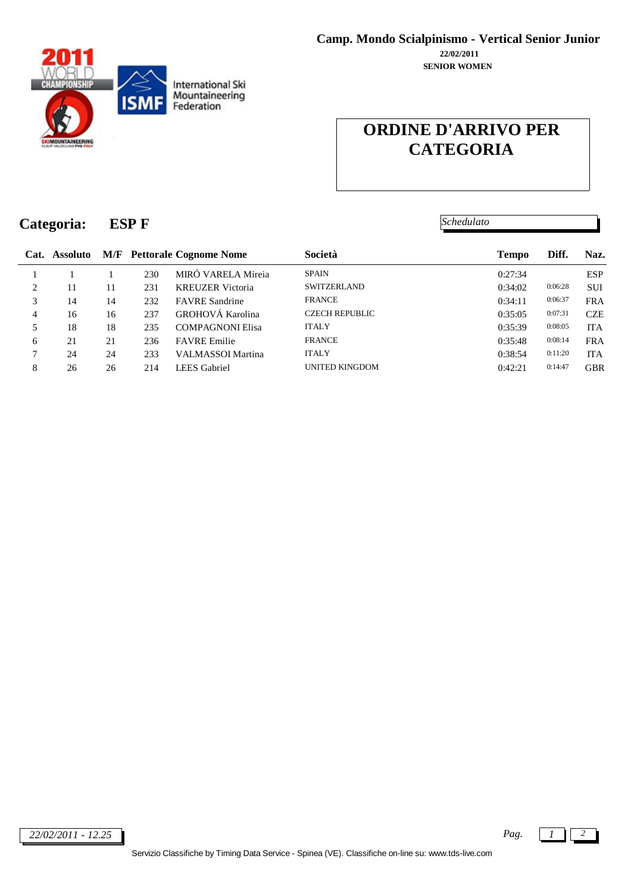

*Schedulato*

# **Categoria: ESP F**

|                |    |    |     | Cat. Assoluto M/F Pettorale Cognome Nome | Società               | <b>Tempo</b> | Diff.   | Naz.       |
|----------------|----|----|-----|------------------------------------------|-----------------------|--------------|---------|------------|
|                |    |    | 230 | MIRÓ VARELA Mireia                       | <b>SPAIN</b>          | 0:27:34      |         | <b>ESP</b> |
| 2              | 11 | 11 | 231 | <b>KREUZER</b> Victoria                  | <b>SWITZERLAND</b>    | 0:34:02      | 0:06:28 | <b>SUI</b> |
| 3              | 14 | 14 | 232 | <b>FAVRE</b> Sandrine                    | <b>FRANCE</b>         | 0:34:11      | 0:06:37 | <b>FRA</b> |
| $\overline{4}$ | 16 | 16 | 237 | GROHOVÁ Karolina                         | <b>CZECH REPUBLIC</b> | 0:35:05      | 0:07:31 | <b>CZE</b> |
| 5              | 18 | 18 | 235 | <b>COMPAGNONI Elisa</b>                  | <b>ITALY</b>          | 0:35:39      | 0:08:05 | <b>ITA</b> |
| 6              | 21 | 21 | 236 | <b>FAVRE</b> Emilie                      | <b>FRANCE</b>         | 0:35:48      | 0:08:14 | <b>FRA</b> |
| 7              | 24 | 24 | 233 | VALMASSOI Martina                        | <b>ITALY</b>          | 0:38:54      | 0:11:20 | <b>ITA</b> |
| 8              | 26 | 26 | 214 | LEES Gabriel                             | UNITED KINGDOM        | 0:42:21      | 0:14:47 | <b>GBR</b> |
|                |    |    |     |                                          |                       |              |         |            |

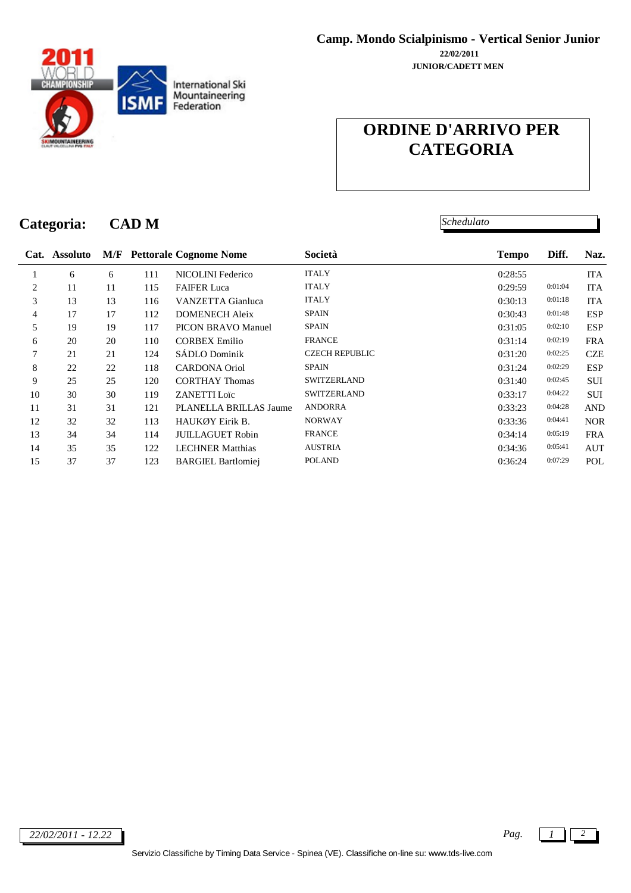

*Schedulato*

#### **Categoria: CAD M**

|    | Cat. Assoluto |    |     | <b>M/F</b> Pettorale Cognome Nome | Società               | <b>Tempo</b> | Diff.   | Naz.       |
|----|---------------|----|-----|-----------------------------------|-----------------------|--------------|---------|------------|
|    | 6             | 6  | 111 | NICOLINI Federico                 | <b>ITALY</b>          | 0:28:55      |         | <b>ITA</b> |
| 2  | 11            | 11 | 115 | <b>FAIFER Luca</b>                | <b>ITALY</b>          | 0:29:59      | 0:01:04 | <b>ITA</b> |
| 3  | 13            | 13 | 116 | VANZETTA Gianluca                 | <b>ITALY</b>          | 0:30:13      | 0:01:18 | <b>ITA</b> |
| 4  | 17            | 17 | 112 | <b>DOMENECH Aleix</b>             | <b>SPAIN</b>          | 0:30:43      | 0:01:48 | <b>ESP</b> |
| 5  | 19            | 19 | 117 | <b>PICON BRAVO Manuel</b>         | <b>SPAIN</b>          | 0:31:05      | 0:02:10 | <b>ESP</b> |
| 6  | 20            | 20 | 110 | <b>CORBEX Emilio</b>              | <b>FRANCE</b>         | 0:31:14      | 0:02:19 | <b>FRA</b> |
| 7  | 21            | 21 | 124 | SÁDLO Dominik                     | <b>CZECH REPUBLIC</b> | 0:31:20      | 0:02:25 | <b>CZE</b> |
| 8  | 22            | 22 | 118 | <b>CARDONA</b> Oriol              | <b>SPAIN</b>          | 0:31:24      | 0:02:29 | <b>ESP</b> |
| 9  | 25            | 25 | 120 | <b>CORTHAY Thomas</b>             | <b>SWITZERLAND</b>    | 0:31:40      | 0:02:45 | <b>SUI</b> |
| 10 | 30            | 30 | 119 | <b>ZANETTI Loïc</b>               | <b>SWITZERLAND</b>    | 0:33:17      | 0:04:22 | <b>SUI</b> |
| 11 | 31            | 31 | 121 | PLANELLA BRILLAS Jaume            | <b>ANDORRA</b>        | 0:33:23      | 0:04:28 | <b>AND</b> |
| 12 | 32            | 32 | 113 | HAUKØY Eirik B.                   | <b>NORWAY</b>         | 0:33:36      | 0:04:41 | <b>NOR</b> |
| 13 | 34            | 34 | 114 | <b>JUILLAGUET Robin</b>           | <b>FRANCE</b>         | 0:34:14      | 0:05:19 | <b>FRA</b> |
| 14 | 35            | 35 | 122 | <b>LECHNER Matthias</b>           | <b>AUSTRIA</b>        | 0:34:36      | 0:05:41 | <b>AUT</b> |
| 15 | 37            | 37 | 123 | <b>BARGIEL Bartlomiei</b>         | <b>POLAND</b>         | 0:36:24      | 0:07:29 | POL        |

*22/02/2011 - 12.22 Pag. 1 2*

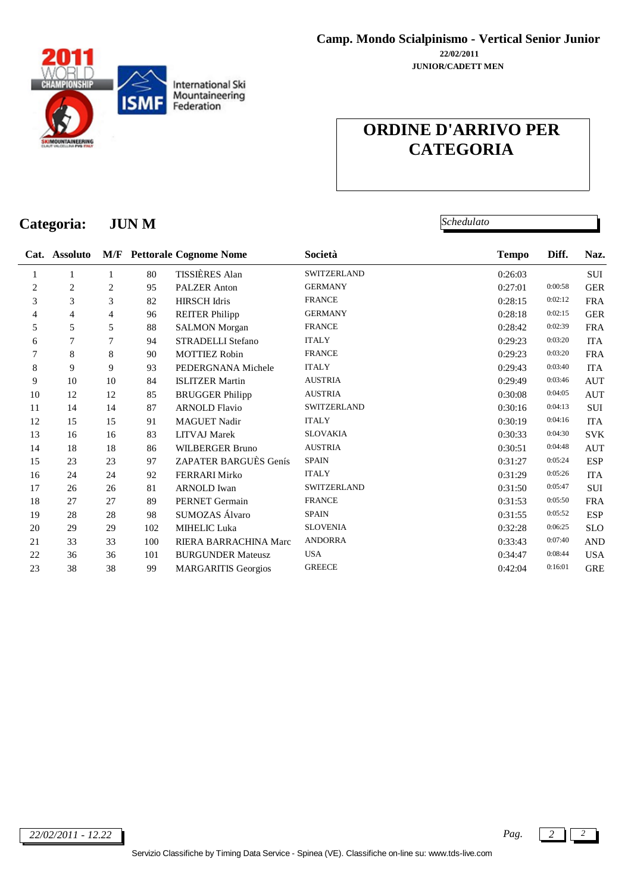

*Schedulato*

# **Categoria: JUN M**

|                | Cat. Assoluto |    |     | <b>M/F</b> Pettorale Cognome Nome | Società            | <b>Tempo</b> | Diff.   | Naz.       |
|----------------|---------------|----|-----|-----------------------------------|--------------------|--------------|---------|------------|
| 1              | 1             | 1  | 80  | TISSIÈRES Alan                    | <b>SWITZERLAND</b> | 0:26:03      |         | SUI        |
| $\overline{c}$ | 2             | 2  | 95  | <b>PALZER</b> Anton               | <b>GERMANY</b>     | 0:27:01      | 0:00:58 | <b>GER</b> |
| 3              | 3             | 3  | 82  | <b>HIRSCH</b> Idris               | <b>FRANCE</b>      | 0:28:15      | 0:02:12 | <b>FRA</b> |
| 4              | 4             | 4  | 96  | <b>REITER Philipp</b>             | <b>GERMANY</b>     | 0:28:18      | 0:02:15 | <b>GER</b> |
| 5              | 5             | 5  | 88  | <b>SALMON</b> Morgan              | <b>FRANCE</b>      | 0:28:42      | 0:02:39 | <b>FRA</b> |
| 6              | 7             | 7  | 94  | <b>STRADELLI Stefano</b>          | <b>ITALY</b>       | 0:29:23      | 0:03:20 | <b>ITA</b> |
| 7              | 8             | 8  | 90  | <b>MOTTIEZ Robin</b>              | <b>FRANCE</b>      | 0:29:23      | 0:03:20 | <b>FRA</b> |
| 8              | 9             | 9  | 93  | PEDERGNANA Michele                | <b>ITALY</b>       | 0:29:43      | 0:03:40 | <b>ITA</b> |
| 9              | 10            | 10 | 84  | <b>ISLITZER Martin</b>            | <b>AUSTRIA</b>     | 0:29:49      | 0:03:46 | <b>AUT</b> |
| 10             | 12            | 12 | 85  | <b>BRUGGER Philipp</b>            | <b>AUSTRIA</b>     | 0:30:08      | 0:04:05 | <b>AUT</b> |
| 11             | 14            | 14 | 87  | <b>ARNOLD Flavio</b>              | <b>SWITZERLAND</b> | 0:30:16      | 0:04:13 | SUI        |
| 12             | 15            | 15 | 91  | <b>MAGUET Nadir</b>               | <b>ITALY</b>       | 0:30:19      | 0:04:16 | <b>ITA</b> |
| 13             | 16            | 16 | 83  | <b>LITVAJ</b> Marek               | <b>SLOVAKIA</b>    | 0:30:33      | 0:04:30 | <b>SVK</b> |
| 14             | 18            | 18 | 86  | <b>WILBERGER Bruno</b>            | <b>AUSTRIA</b>     | 0:30:51      | 0:04:48 | <b>AUT</b> |
| 15             | 23            | 23 | 97  | ZAPATER BARGUÈS Genís             | <b>SPAIN</b>       | 0:31:27      | 0:05:24 | <b>ESP</b> |
| 16             | 24            | 24 | 92  | <b>FERRARI Mirko</b>              | <b>ITALY</b>       | 0:31:29      | 0:05:26 | <b>ITA</b> |
| 17             | 26            | 26 | 81  | <b>ARNOLD</b> Iwan                | <b>SWITZERLAND</b> | 0:31:50      | 0:05:47 | <b>SUI</b> |
| 18             | 27            | 27 | 89  | <b>PERNET</b> Germain             | <b>FRANCE</b>      | 0:31:53      | 0:05:50 | <b>FRA</b> |
| 19             | 28            | 28 | 98  | SUMOZAS Álvaro                    | <b>SPAIN</b>       | 0:31:55      | 0:05:52 | <b>ESP</b> |
| 20             | 29            | 29 | 102 | MIHELIC Luka                      | <b>SLOVENIA</b>    | 0:32:28      | 0:06:25 | <b>SLO</b> |
| 21             | 33            | 33 | 100 | RIERA BARRACHINA Marc             | <b>ANDORRA</b>     | 0:33:43      | 0:07:40 | <b>AND</b> |
| 22             | 36            | 36 | 101 | <b>BURGUNDER Mateusz</b>          | <b>USA</b>         | 0:34:47      | 0:08:44 | <b>USA</b> |
| 23             | 38            | 38 | 99  | <b>MARGARITIS Georgios</b>        | <b>GREECE</b>      | 0:42:04      | 0:16:01 | <b>GRE</b> |

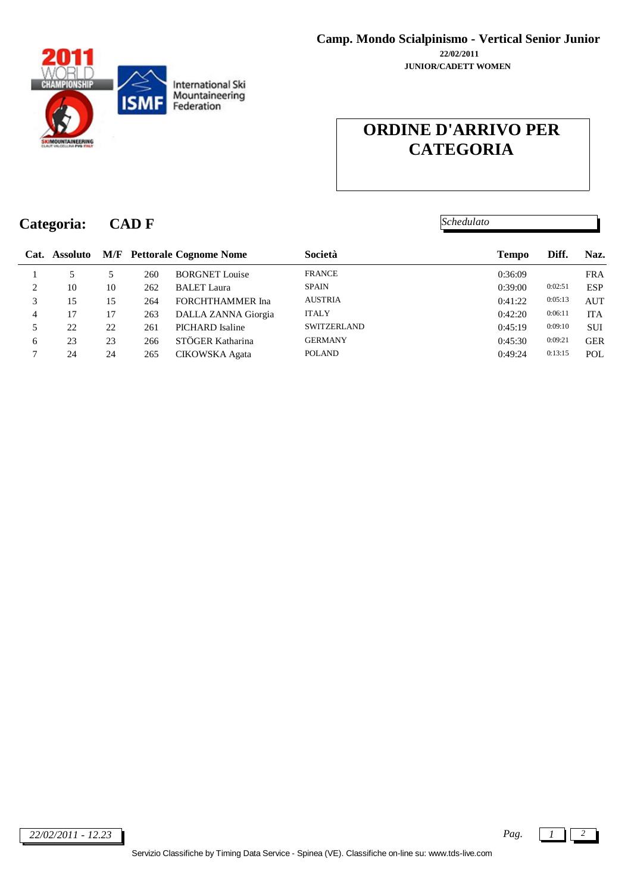

*Schedulato*

# **Categoria: CAD F**

|                               | Cat. Assoluto |    |     | <b>M/F</b> Pettorale Cognome Nome | Società            | <b>Tempo</b> | Diff.   | Naz.       |
|-------------------------------|---------------|----|-----|-----------------------------------|--------------------|--------------|---------|------------|
|                               | 5             |    | 260 | <b>BORGNET</b> Louise             | <b>FRANCE</b>      | 0:36:09      |         | <b>FRA</b> |
| $\mathfrak{D}_{\mathfrak{p}}$ | 10            | 10 | 262 | <b>BALET</b> Laura                | <b>SPAIN</b>       | 0:39:00      | 0:02:51 | <b>ESP</b> |
|                               | 15            | 15 | 264 | <b>FORCHTHAMMER</b> Ina           | <b>AUSTRIA</b>     | 0:41:22      | 0:05:13 | <b>AUT</b> |
|                               | 17            | 17 | 263 | DALLA ZANNA Giorgia               | <b>ITALY</b>       | 0:42:20      | 0:06:11 | <b>ITA</b> |
|                               | 22            | 22 | 261 | PICHARD Isaline                   | <b>SWITZERLAND</b> | 0:45:19      | 0:09:10 | <b>SUI</b> |
| 6                             | 23            | 23 | 266 | STÖGER Katharina                  | <b>GERMANY</b>     | 0:45:30      | 0:09:21 | <b>GER</b> |
|                               | 24            | 24 | 265 | CIKOWSKA Agata                    | <b>POLAND</b>      | 0:49:24      | 0:13:15 | POL        |
|                               |               |    |     |                                   |                    |              |         |            |